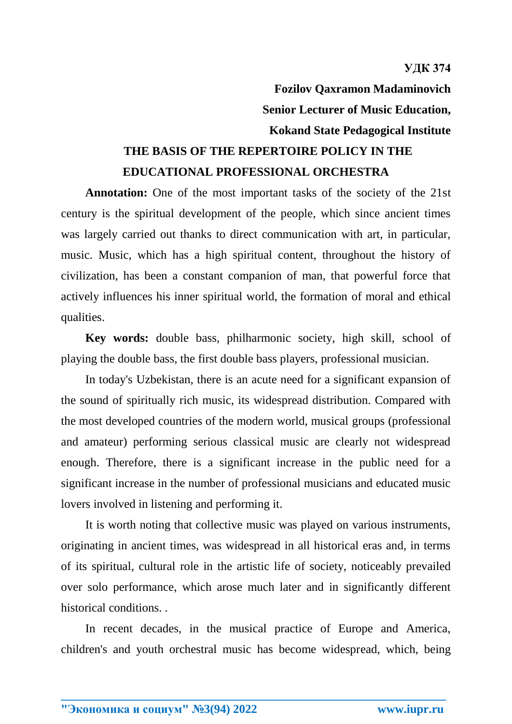**Fozilov Qaxramon Madaminovich Senior Lecturer of Music Education, Kokand State Pedagogical Institute**

## **THE BASIS OF THE REPERTOIRE POLICY IN THE EDUCATIONAL PROFESSIONAL ORCHESTRA**

**Annotation:** One of the most important tasks of the society of the 21st century is the spiritual development of the people, which since ancient times was largely carried out thanks to direct communication with art, in particular, music. Music, which has a high spiritual content, throughout the history of civilization, has been a constant companion of man, that powerful force that actively influences his inner spiritual world, the formation of moral and ethical qualities.

**Key words:** double bass, philharmonic society, high skill, school of playing the double bass, the first double bass players, professional musician.

In today's Uzbekistan, there is an acute need for a significant expansion of the sound of spiritually rich music, its widespread distribution. Compared with the most developed countries of the modern world, musical groups (professional and amateur) performing serious classical music are clearly not widespread enough. Therefore, there is a significant increase in the public need for a significant increase in the number of professional musicians and educated music lovers involved in listening and performing it.

It is worth noting that collective music was played on various instruments, originating in ancient times, was widespread in all historical eras and, in terms of its spiritual, cultural role in the artistic life of society, noticeably prevailed over solo performance, which arose much later and in significantly different historical conditions. .

In recent decades, in the musical practice of Europe and America, children's and youth orchestral music has become widespread, which, being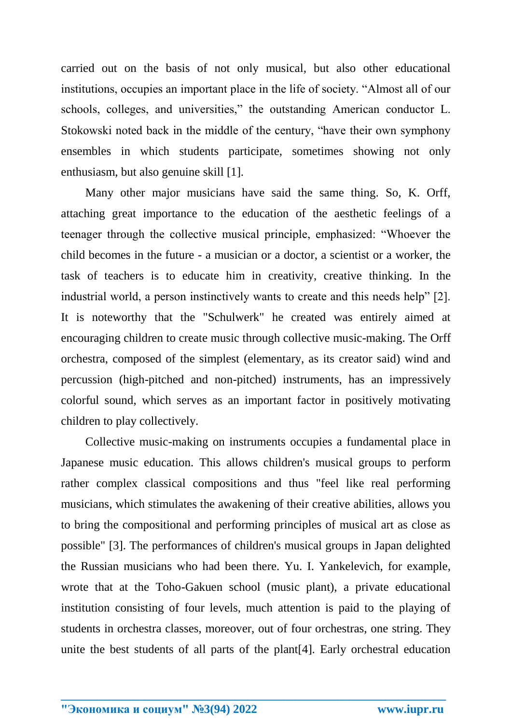carried out on the basis of not only musical, but also other educational institutions, occupies an important place in the life of society. "Almost all of our schools, colleges, and universities," the outstanding American conductor L. Stokowski noted back in the middle of the century, "have their own symphony ensembles in which students participate, sometimes showing not only enthusiasm, but also genuine skill [1].

Many other major musicians have said the same thing. So, K. Orff, attaching great importance to the education of the aesthetic feelings of a teenager through the collective musical principle, emphasized: "Whoever the child becomes in the future - a musician or a doctor, a scientist or a worker, the task of teachers is to educate him in creativity, creative thinking. In the industrial world, a person instinctively wants to create and this needs help" [2]. It is noteworthy that the "Schulwerk" he created was entirely aimed at encouraging children to create music through collective music-making. The Orff orchestra, composed of the simplest (elementary, as its creator said) wind and percussion (high-pitched and non-pitched) instruments, has an impressively colorful sound, which serves as an important factor in positively motivating children to play collectively.

Collective music-making on instruments occupies a fundamental place in Japanese music education. This allows children's musical groups to perform rather complex classical compositions and thus "feel like real performing musicians, which stimulates the awakening of their creative abilities, allows you to bring the compositional and performing principles of musical art as close as possible" [3]. The performances of children's musical groups in Japan delighted the Russian musicians who had been there. Yu. I. Yankelevich, for example, wrote that at the Toho-Gakuen school (music plant), a private educational institution consisting of four levels, much attention is paid to the playing of students in orchestra classes, moreover, out of four orchestras, one string. They unite the best students of all parts of the plant[4]. Early orchestral education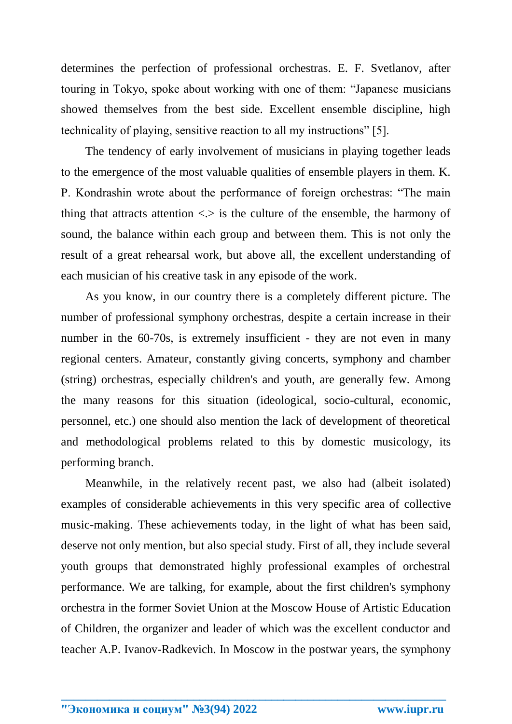determines the perfection of professional orchestras. E. F. Svetlanov, after touring in Tokyo, spoke about working with one of them: "Japanese musicians showed themselves from the best side. Excellent ensemble discipline, high technicality of playing, sensitive reaction to all my instructions" [5].

The tendency of early involvement of musicians in playing together leads to the emergence of the most valuable qualities of ensemble players in them. K. P. Kondrashin wrote about the performance of foreign orchestras: "The main thing that attracts attention  $\langle \cdot \rangle$  is the culture of the ensemble, the harmony of sound, the balance within each group and between them. This is not only the result of a great rehearsal work, but above all, the excellent understanding of each musician of his creative task in any episode of the work.

As you know, in our country there is a completely different picture. The number of professional symphony orchestras, despite a certain increase in their number in the 60-70s, is extremely insufficient - they are not even in many regional centers. Amateur, constantly giving concerts, symphony and chamber (string) orchestras, especially children's and youth, are generally few. Among the many reasons for this situation (ideological, socio-cultural, economic, personnel, etc.) one should also mention the lack of development of theoretical and methodological problems related to this by domestic musicology, its performing branch.

Meanwhile, in the relatively recent past, we also had (albeit isolated) examples of considerable achievements in this very specific area of collective music-making. These achievements today, in the light of what has been said, deserve not only mention, but also special study. First of all, they include several youth groups that demonstrated highly professional examples of orchestral performance. We are talking, for example, about the first children's symphony orchestra in the former Soviet Union at the Moscow House of Artistic Education of Children, the organizer and leader of which was the excellent conductor and teacher A.P. Ivanov-Radkevich. In Moscow in the postwar years, the symphony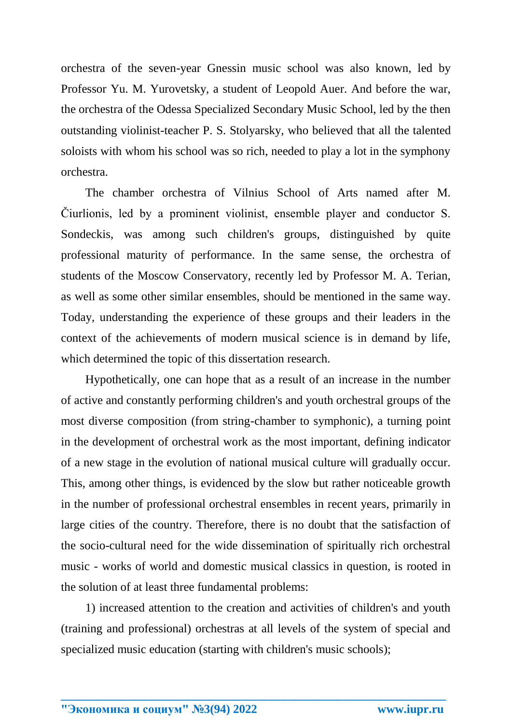orchestra of the seven-year Gnessin music school was also known, led by Professor Yu. M. Yurovetsky, a student of Leopold Auer. And before the war, the orchestra of the Odessa Specialized Secondary Music School, led by the then outstanding violinist-teacher P. S. Stolyarsky, who believed that all the talented soloists with whom his school was so rich, needed to play a lot in the symphony orchestra.

The chamber orchestra of Vilnius School of Arts named after M. Čiurlionis, led by a prominent violinist, ensemble player and conductor S. Sondeckis, was among such children's groups, distinguished by quite professional maturity of performance. In the same sense, the orchestra of students of the Moscow Conservatory, recently led by Professor M. A. Terian, as well as some other similar ensembles, should be mentioned in the same way. Today, understanding the experience of these groups and their leaders in the context of the achievements of modern musical science is in demand by life, which determined the topic of this dissertation research.

Hypothetically, one can hope that as a result of an increase in the number of active and constantly performing children's and youth orchestral groups of the most diverse composition (from string-chamber to symphonic), a turning point in the development of orchestral work as the most important, defining indicator of a new stage in the evolution of national musical culture will gradually occur. This, among other things, is evidenced by the slow but rather noticeable growth in the number of professional orchestral ensembles in recent years, primarily in large cities of the country. Therefore, there is no doubt that the satisfaction of the socio-cultural need for the wide dissemination of spiritually rich orchestral music - works of world and domestic musical classics in question, is rooted in the solution of at least three fundamental problems:

1) increased attention to the creation and activities of children's and youth (training and professional) orchestras at all levels of the system of special and specialized music education (starting with children's music schools);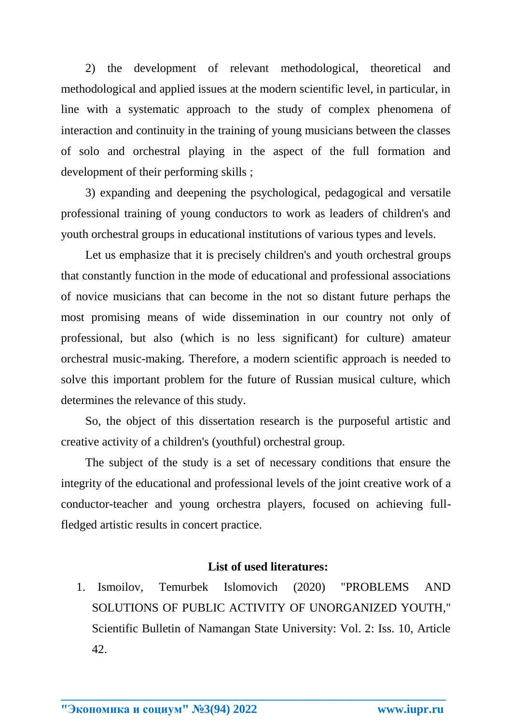2) the development of relevant methodological, theoretical and methodological and applied issues at the modern scientific level, in particular, in line with a systematic approach to the study of complex phenomena of interaction and continuity in the training of young musicians between the classes of solo and orchestral playing in the aspect of the full formation and development of their performing skills ;

3) expanding and deepening the psychological, pedagogical and versatile professional training of young conductors to work as leaders of children's and youth orchestral groups in educational institutions of various types and levels.

Let us emphasize that it is precisely children's and youth orchestral groups that constantly function in the mode of educational and professional associations of novice musicians that can become in the not so distant future perhaps the most promising means of wide dissemination in our country not only of professional, but also (which is no less significant) for culture) amateur orchestral music-making. Therefore, a modern scientific approach is needed to solve this important problem for the future of Russian musical culture, which determines the relevance of this study.

So, the object of this dissertation research is the purposeful artistic and creative activity of a children's (youthful) orchestral group.

The subject of the study is a set of necessary conditions that ensure the integrity of the educational and professional levels of the joint creative work of a conductor-teacher and young orchestra players, focused on achieving fullfledged artistic results in concert practice.

## **List of used literatures:**

1. Ismoilov, Temurbek Islomovich (2020) "PROBLEMS AND SOLUTIONS OF PUBLIC ACTIVITY OF UNORGANIZED YOUTH," Scientific Bulletin of Namangan State University: Vol. 2: Iss. 10, Article 42.